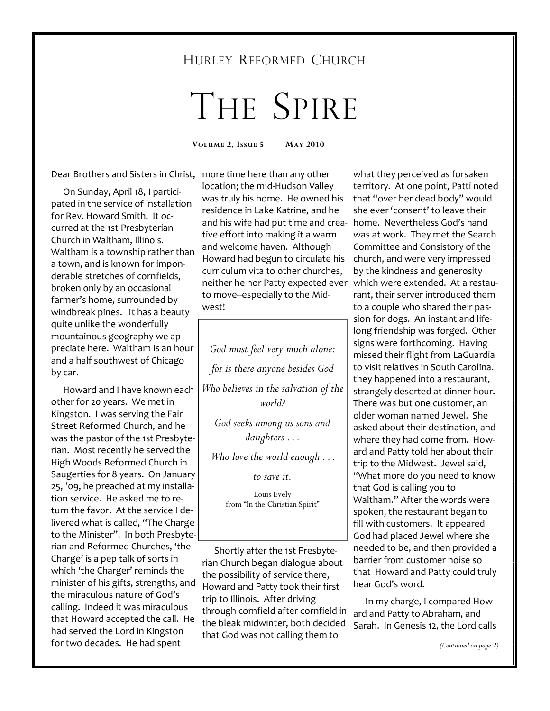# HURLEY REFORMED CHURCH

# THE SPIRE

**VOLUME 2, ISSUE 5 MAY 2010** 

Dear Brothers and Sisters in Christ, more time here than any other

 On Sunday, April 18, I participated in the service of installation for Rev. Howard Smith. It occurred at the 1st Presbyterian Church in Waltham, Illinois. Waltham is a township rather than a town, and is known for imponderable stretches of cornfields, broken only by an occasional farmer's home, surrounded by windbreak pines. It has a beauty quite unlike the wonderfully mountainous geography we appreciate here. Waltham is an hour and a half southwest of Chicago by car.

 Howard and I have known each other for 20 years. We met in Kingston. I was serving the Fair Street Reformed Church, and he was the pastor of the 1st Presbyterian. Most recently he served the High Woods Reformed Church in Saugerties for 8 years. On January 25, '09, he preached at my installation service. He asked me to return the favor. At the service I delivered what is called, "The Charge to the Minister". In both Presbyterian and Reformed Churches, 'the Charge' is a pep talk of sorts in which 'the Charger' reminds the minister of his gifts, strengths, and the miraculous nature of God's calling. Indeed it was miraculous that Howard accepted the call. He had served the Lord in Kingston for two decades. He had spent

location; the mid-Hudson Valley was truly his home. He owned his residence in Lake Katrine, and he and his wife had put time and crea-home. Nevertheless God's hand tive effort into making it a warm and welcome haven. Although Howard had begun to circulate his curriculum vita to other churches, neither he nor Patty expected ever to move--especially to the Midwest!

*God must feel very much alone: for is there anyone besides God Who believes in the salvation of the world?* 

*God seeks among us sons and daughters . . .* 

*Who love the world enough . . .* 

*to save it.* 

Louis Evely from "In the Christian Spirit"

 Shortly after the 1st Presbyterian Church began dialogue about the possibility of service there, Howard and Patty took their first trip to Illinois. After driving through cornfield after cornfield in the bleak midwinter, both decided that God was not calling them to

what they perceived as forsaken territory. At one point, Patti noted that "over her dead body" would she ever 'consent' to leave their was at work. They met the Search Committee and Consistory of the church, and were very impressed by the kindness and generosity which were extended. At a restaurant, their server introduced them to a couple who shared their passion for dogs. An instant and lifelong friendship was forged. Other signs were forthcoming. Having missed their flight from LaGuardia to visit relatives in South Carolina. they happened into a restaurant, strangely deserted at dinner hour. There was but one customer, an older woman named Jewel. She asked about their destination, and where they had come from. Howard and Patty told her about their trip to the Midwest. Jewel said, "What more do you need to know that God is calling you to Waltham." After the words were spoken, the restaurant began to fill with customers. It appeared God had placed Jewel where she needed to be, and then provided a barrier from customer noise so that Howard and Patty could truly hear God's word.

 In my charge, I compared Howard and Patty to Abraham, and Sarah. In Genesis 12, the Lord calls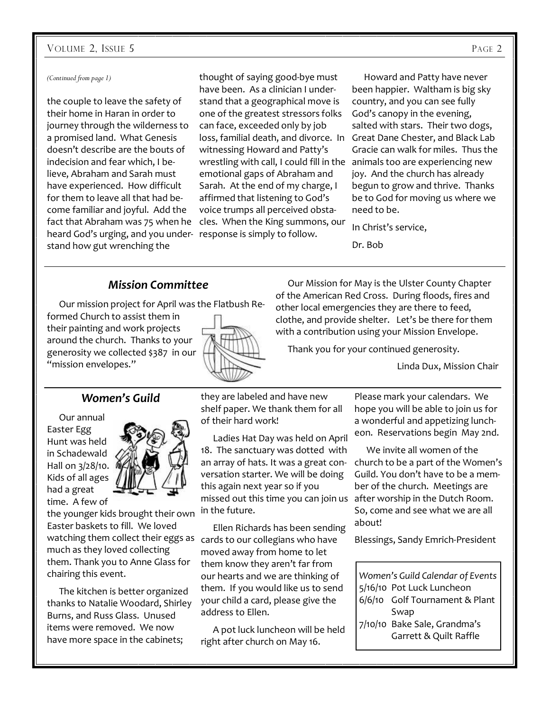#### VOLUME 2, ISSUE 5 PAGE 2

#### *(Continued from page 1)*

the couple to leave the safety of their home in Haran in order to journey through the wilderness to a promised land. What Genesis doesn't describe are the bouts of indecision and fear which, I believe, Abraham and Sarah must have experienced. How difficult for them to leave all that had become familiar and joyful. Add the fact that Abraham was 75 when he heard God's urging, and you under-response is simply to follow. stand how gut wrenching the

thought of saying good-bye must have been. As a clinician I understand that a geographical move is one of the greatest stressors folks can face, exceeded only by job loss, familial death, and divorce. In Great Dane Chester, and Black Lab witnessing Howard and Patty's wrestling with call, I could fill in the animals too are experiencing new emotional gaps of Abraham and Sarah. At the end of my charge, I affirmed that listening to God's voice trumps all perceived obstacles. When the King summons, our

 Howard and Patty have never been happier. Waltham is big sky country, and you can see fully God's canopy in the evening, salted with stars. Their two dogs, Gracie can walk for miles. Thus the joy. And the church has already begun to grow and thrive. Thanks be to God for moving us where we need to be.

In Christ's service,

Dr. Bob

#### *Mission Committee*

Our mission project for April was the Flatbush Re-

formed Church to assist them in their painting and work projects around the church. Thanks to your generosity we collected \$387 in our "mission envelopes."



 Our Mission for May is the Ulster County Chapter of the American Red Cross. During floods, fires and other local emergencies they are there to feed, clothe, and provide shelter. Let's be there for them with a contribution using your Mission Envelope.

Thank you for your continued generosity.

Linda Dux, Mission Chair

#### *Women's Guild*

 Our annual Easter Egg Hunt was held in Schadewald Hall on 3/28/10. Kids of all ages had a great time. A few of



the younger kids brought their own Easter baskets to fill. We loved watching them collect their eggs as cards to our collegians who have much as they loved collecting them. Thank you to Anne Glass for chairing this event.

 The kitchen is better organized thanks to Natalie Woodard, Shirley Burns, and Russ Glass. Unused items were removed. We now have more space in the cabinets;

they are labeled and have new shelf paper. We thank them for all of their hard work!

 Ladies Hat Day was held on April 18. The sanctuary was dotted with an array of hats. It was a great conversation starter. We will be doing this again next year so if you missed out this time you can join us after worship in the Dutch Room. in the future.

 Ellen Richards has been sending moved away from home to let them know they aren't far from our hearts and we are thinking of them. If you would like us to send your child a card, please give the address to Ellen.

 A pot luck luncheon will be held right after church on May 16.

Please mark your calendars. We hope you will be able to join us for a wonderful and appetizing luncheon. Reservations begin May 2nd.

 We invite all women of the church to be a part of the Women's Guild. You don't have to be a member of the church. Meetings are So, come and see what we are all about!

Blessings, Sandy Emrich-President

*Women's Guild Calendar of Events*  5/16/10 Pot Luck Luncheon 6/6/10 Golf Tournament & Plant Swap 7/10/10 Bake Sale, Grandma's Garrett & Quilt Raffle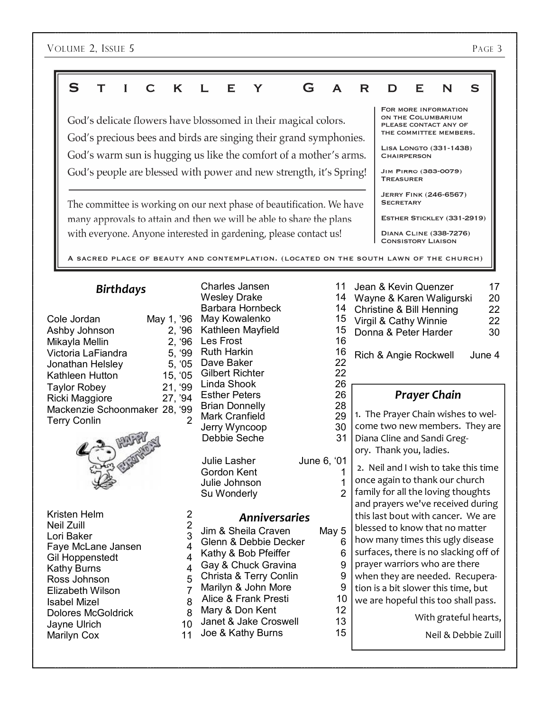| S<br>K<br>C                                                                                                                                                                                                                        |                                                                     | Е<br>Y                                                                                                                                                                                                                               | G | А                                                              | R                                                                                                                          | D                                                                                                                                                                 | Е | N | S                                                                                                                                                                            |
|------------------------------------------------------------------------------------------------------------------------------------------------------------------------------------------------------------------------------------|---------------------------------------------------------------------|--------------------------------------------------------------------------------------------------------------------------------------------------------------------------------------------------------------------------------------|---|----------------------------------------------------------------|----------------------------------------------------------------------------------------------------------------------------|-------------------------------------------------------------------------------------------------------------------------------------------------------------------|---|---|------------------------------------------------------------------------------------------------------------------------------------------------------------------------------|
|                                                                                                                                                                                                                                    |                                                                     | FOR MORE INFORMATION<br>ON THE COLUMBARIUM<br>God's delicate flowers have blossomed in their magical colors.<br>PLEASE CONTACT ANY OF<br>THE COMMITTEE MEMBERS.<br>God's precious bees and birds are singing their grand symphonies. |   |                                                                |                                                                                                                            |                                                                                                                                                                   |   |   |                                                                                                                                                                              |
|                                                                                                                                                                                                                                    |                                                                     | God's warm sun is hugging us like the comfort of a mother's arms.                                                                                                                                                                    |   |                                                                |                                                                                                                            | LISA LONGTO (331-1438)<br><b>CHAIRPERSON</b>                                                                                                                      |   |   |                                                                                                                                                                              |
|                                                                                                                                                                                                                                    |                                                                     | God's people are blessed with power and new strength, it's Spring!                                                                                                                                                                   |   |                                                                |                                                                                                                            | JIM PIRRO (383-0079)<br><b>TREASURER</b>                                                                                                                          |   |   |                                                                                                                                                                              |
| The committee is working on our next phase of beautification. We have                                                                                                                                                              |                                                                     |                                                                                                                                                                                                                                      |   |                                                                |                                                                                                                            | <b>JERRY FINK (246-6567)</b><br><b>SECRETARY</b>                                                                                                                  |   |   |                                                                                                                                                                              |
|                                                                                                                                                                                                                                    |                                                                     | many approvals to attain and then we will be able to share the plans                                                                                                                                                                 |   |                                                                |                                                                                                                            | ESTHER STICKLEY (331-2919)                                                                                                                                        |   |   |                                                                                                                                                                              |
| with everyone. Anyone interested in gardening, please contact us!                                                                                                                                                                  |                                                                     |                                                                                                                                                                                                                                      |   |                                                                |                                                                                                                            | DIANA CLINE (338-7276)<br><b>CONSISTORY LIAISON</b>                                                                                                               |   |   |                                                                                                                                                                              |
| A SACRED PLACE OF BEAUTY AND CONTEMPLATION. (LOCATED ON THE SOUTH LAWN OF THE CHURCH)                                                                                                                                              |                                                                     |                                                                                                                                                                                                                                      |   |                                                                |                                                                                                                            |                                                                                                                                                                   |   |   |                                                                                                                                                                              |
| <b>Birthdays</b><br>Cole Jordan<br>May 1, '96<br>2, '96<br>Ashby Johnson<br>2, '96<br>Mikayla Mellin<br>Victoria LaFiandra<br>5, '99<br>5, '05<br>Jonathan Helsley<br>15, '05<br>Kathleen Hutton<br>21, '99<br><b>Taylor Robey</b> |                                                                     | Charles Jansen<br><b>Wesley Drake</b><br>Barbara Hornbeck<br>May Kowalenko<br>Kathleen Mayfield<br>Les Frost<br><b>Ruth Harkin</b><br>Dave Baker<br><b>Gilbert Richter</b><br>Linda Shook                                            |   | 11<br>14<br>14<br>15<br>15<br>16<br>16<br>22<br>22<br>26<br>26 |                                                                                                                            | Jean & Kevin Quenzer<br>Wayne & Karen Waligurski<br><b>Christine &amp; Bill Henning</b><br>Virgil & Cathy Winnie<br>Donna & Peter Harder<br>Rich & Angie Rockwell |   |   | 17<br>20<br>22<br>22<br>30<br>June 4                                                                                                                                         |
| Ricki Maggiore<br>27, '94<br>Mackenzie Schoonmaker 28, '99<br><b>Terry Conlin</b>                                                                                                                                                  | $\overline{2}$                                                      | <b>Esther Peters</b><br>28<br><b>Brian Donnelly</b><br>29<br><b>Mark Cranfield</b><br>30<br>Jerry Wyncoop<br>Debbie Seche<br>31                                                                                                      |   |                                                                | <b>Prayer Chain</b><br>1. The Prayer Chain wishes to wel-<br>come two new members. They are<br>Diana Cline and Sandi Greg- |                                                                                                                                                                   |   |   |                                                                                                                                                                              |
|                                                                                                                                                                                                                                    |                                                                     |                                                                                                                                                                                                                                      |   |                                                                |                                                                                                                            |                                                                                                                                                                   |   |   |                                                                                                                                                                              |
|                                                                                                                                                                                                                                    |                                                                     | <b>Julie Lasher</b><br>Gordon Kent<br>Julie Johnson<br>Su Wonderly                                                                                                                                                                   |   | June 6, '01<br>1<br>$\overline{2}$                             |                                                                                                                            | ory. Thank you, ladies.<br>once again to thank our church<br>family for all the loving thoughts                                                                   |   |   | 2. Neil and I wish to take this time                                                                                                                                         |
| Kristen Helm                                                                                                                                                                                                                       | 2                                                                   | <b>Anniversaries</b>                                                                                                                                                                                                                 |   |                                                                |                                                                                                                            |                                                                                                                                                                   |   |   | and prayers we've received during<br>this last bout with cancer. We are                                                                                                      |
| <b>Neil Zuill</b><br>Lori Baker<br>Faye McLane Jansen<br><b>Gil Hoppenstedt</b><br><b>Kathy Burns</b><br>Ross Johnson<br>Elizabeth Wilson<br><b>Isabel Mizel</b><br><b>Dolores McGoldrick</b>                                      | $\overline{2}$<br>3<br>4<br>4<br>4<br>5<br>$\overline{7}$<br>8<br>8 | Jim & Sheila Craven<br>Glenn & Debbie Decker<br>Kathy & Bob Pfeiffer<br>Gay & Chuck Gravina<br>Christa & Terry Conlin<br>Marilyn & John More<br>Alice & Frank Presti<br>Mary & Don Kent                                              |   | May 5<br>6<br>6<br>9<br>9<br>9<br>10<br>12                     |                                                                                                                            | blessed to know that no matter<br>prayer warriors who are there<br>tion is a bit slower this time, but                                                            |   |   | how many times this ugly disease<br>surfaces, there is no slacking off of<br>when they are needed. Recupera-<br>we are hopeful this too shall pass.<br>With grateful hearts, |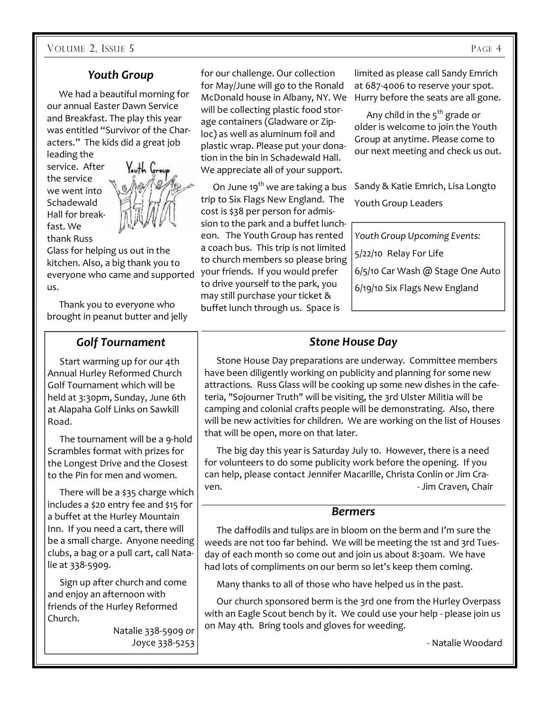# *Youth Group*

 We had a beautiful morning for our annual Easter Dawn Service and Breakfast. The play this year was entitled "Survivor of the Characters." The kids did a great job

leading the service. After the service we went into **Schadewald** Hall for breakfast. We thank Russ



Glass for helping us out in the kitchen. Also, a big thank you to everyone who came and supported us.

 Thank you to everyone who brought in peanut butter and jelly

## *Golf Tournament*

 Start warming up for our 4th Annual Hurley Reformed Church Golf Tournament which will be held at 3:30pm, Sunday, June 6th at Alapaha Golf Links on Sawkill Road.

 The tournament will be a 9-hold Scrambles format with prizes for the Longest Drive and the Closest to the Pin for men and women.

 There will be a \$35 charge which includes a \$20 entry fee and \$15 for a buffet at the Hurley Mountain Inn. If you need a cart, there will be a small charge. Anyone needing clubs, a bag or a pull cart, call Natalie at 338-5909.

 Sign up after church and come and enjoy an afternoon with friends of the Hurley Reformed Church.

> Natalie 338-5909 or Joyce 338-5253

for our challenge. Our collection for May/June will go to the Ronald McDonald house in Albany, NY. We will be collecting plastic food storage containers (Gladware or Ziploc) as well as aluminum foil and plastic wrap. Please put your donation in the bin in Schadewald Hall. We appreciate all of your support.

On June 19<sup>th</sup> we are taking a bus trip to Six Flags New England. The cost is \$38 per person for admission to the park and a buffet luncheon. The Youth Group has rented a coach bus. This trip is not limited to church members so please bring your friends. If you would prefer to drive yourself to the park, you may still purchase your ticket & buffet lunch through us. Space is

limited as please call Sandy Emrich at 687-4006 to reserve your spot. Hurry before the seats are all gone.

Any child in the  $5<sup>th</sup>$  grade or older is welcome to join the Youth Group at anytime. Please come to our next meeting and check us out.

Sandy & Katie Emrich, Lisa Longto Youth Group Leaders

*Youth Group Upcoming Events:*  5/22/10 Relay For Life 6/5/10 Car Wash @ Stage One Auto 6/19/10 Six Flags New England

# *Stone House Day*

 Stone House Day preparations are underway. Committee members have been diligently working on publicity and planning for some new attractions. Russ Glass will be cooking up some new dishes in the cafeteria, "Sojourner Truth" will be visiting, the 3rd Ulster Militia will be camping and colonial crafts people will be demonstrating. Also, there will be new activities for children. We are working on the list of Houses that will be open, more on that later.

 The big day this year is Saturday July 10. However, there is a need for volunteers to do some publicity work before the opening. If you can help, please contact Jennifer Macarille, Christa Conlin or Jim Craven. **1988** - Jim Craven, Chair

#### *Bermers*

 The daffodils and tulips are in bloom on the berm and I'm sure the weeds are not too far behind. We will be meeting the 1st and 3rd Tuesday of each month so come out and join us about 8:30am. We have had lots of compliments on our berm so let's keep them coming.

Many thanks to all of those who have helped us in the past.

 Our church sponsored berm is the 3rd one from the Hurley Overpass with an Eagle Scout bench by it. We could use your help - please join us on May 4th. Bring tools and gloves for weeding.

- Natalie Woodard